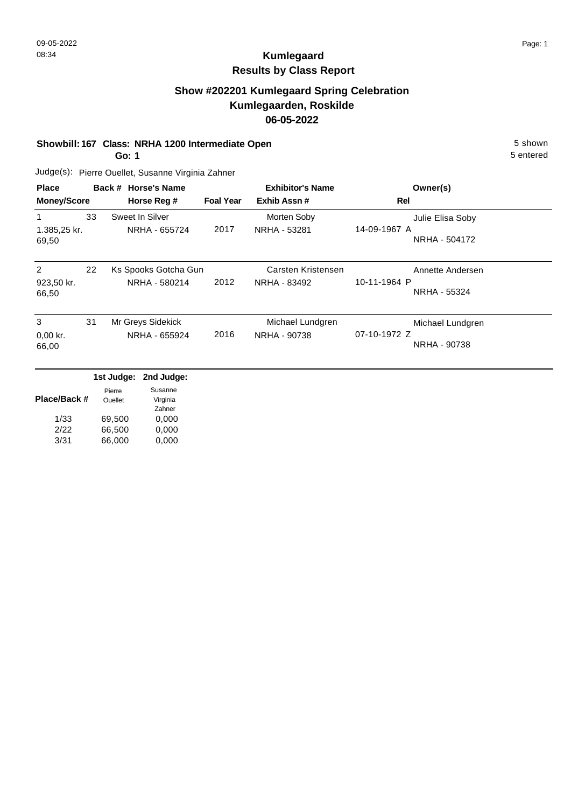# **Show #202201 Kumlegaard Spring Celebration Kumlegaarden, Roskilde 06-05-2022**

### **Showbill: 167 Class: NRHA 1200 Intermediate Open** 5 Shown

**Go: 1**

Judge(s): Pierre Ouellet, Susanne Virginia Zahner

| <b>Place</b><br><b>Money/Score</b> |    | Back # Horse's Name<br>Horse Reg #    | <b>Foal Year</b> | <b>Exhibitor's Name</b><br>Exhib Assn# | Owner(s)<br>Rel                                   |
|------------------------------------|----|---------------------------------------|------------------|----------------------------------------|---------------------------------------------------|
| 1.385,25 kr.<br>69,50              | 33 | Sweet In Silver<br>NRHA - 655724      | 2017             | Morten Soby<br>NRHA - 53281            | Julie Elisa Soby<br>14-09-1967 A<br>NRHA - 504172 |
| 2<br>923,50 kr.<br>66,50           | 22 | Ks Spooks Gotcha Gun<br>NRHA - 580214 | 2012             | Carsten Kristensen<br>NRHA - 83492     | Annette Andersen<br>10-11-1964 P<br>NRHA - 55324  |
| 3<br>$0.00$ kr.<br>66,00           | 31 | Mr Greys Sidekick<br>NRHA - 655924    | 2016             | Michael Lundgren<br>NRHA - 90738       | Michael Lundgren<br>07-10-1972 Z<br>NRHA - 90738  |

|              |                   | 1st Judge: 2nd Judge: |
|--------------|-------------------|-----------------------|
| Place/Back # | Pierre<br>Ouellet | Susanne<br>Virginia   |
|              |                   | Zahner                |
| 1/33         | 69,500            | 0,000                 |
| 2/22         | 66,500            | 0,000                 |
| 3/31         | 66,000            | 0,000                 |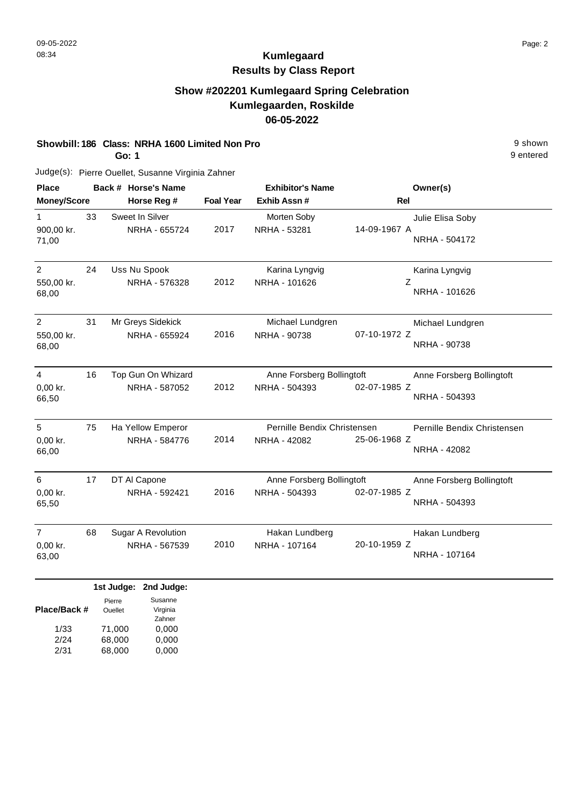### **Show #202201 Kumlegaard Spring Celebration Kumlegaarden, Roskilde 06-05-2022**

#### **Showbill: 186 Class: NRHA 1600 Limited Non Pro** 9 shown

**Go: 1**

Judge(s): Pierre Ouellet, Susanne Virginia Zahner

| <b>Place</b>                          |    | Back # Horse's Name                        |                  | <b>Exhibitor's Name</b>                     | Owner(s)                                                    |
|---------------------------------------|----|--------------------------------------------|------------------|---------------------------------------------|-------------------------------------------------------------|
| <b>Money/Score</b>                    |    | Horse Reg #                                | <b>Foal Year</b> | Exhib Assn #                                | <b>Rel</b>                                                  |
| 1<br>900,00 kr.<br>71,00              | 33 | Sweet In Silver<br>NRHA - 655724           | 2017             | Morten Soby<br>NRHA - 53281                 | Julie Elisa Soby<br>14-09-1967 A<br>NRHA - 504172           |
| 2<br>550,00 kr.<br>68,00              | 24 | Uss Nu Spook<br>NRHA - 576328              | 2012             | Karina Lyngvig<br>NRHA - 101626             | Karina Lyngvig<br>Ζ<br>NRHA - 101626                        |
| $\overline{2}$<br>550,00 kr.<br>68,00 | 31 | Mr Greys Sidekick<br>NRHA - 655924         | 2016             | Michael Lundgren<br>NRHA - 90738            | Michael Lundgren<br>07-10-1972 Z<br>NRHA - 90738            |
| 4<br>0,00 kr.<br>66,50                | 16 | Top Gun On Whizard<br>NRHA - 587052        | 2012             | Anne Forsberg Bollingtoft<br>NRHA - 504393  | Anne Forsberg Bollingtoft<br>02-07-1985 Z<br>NRHA - 504393  |
| 5<br>0,00 kr.<br>66,00                | 75 | Ha Yellow Emperor<br>NRHA - 584776         | 2014             | Pernille Bendix Christensen<br>NRHA - 42082 | Pernille Bendix Christensen<br>25-06-1968 Z<br>NRHA - 42082 |
| 6<br>0,00 kr.<br>65,50                | 17 | DT AI Capone<br>NRHA - 592421              | 2016             | Anne Forsberg Bollingtoft<br>NRHA - 504393  | Anne Forsberg Bollingtoft<br>02-07-1985 Z<br>NRHA - 504393  |
| $\overline{7}$<br>0,00 kr.<br>63,00   | 68 | <b>Sugar A Revolution</b><br>NRHA - 567539 | 2010             | Hakan Lundberg<br>NRHA - 107164             | Hakan Lundberg<br>20-10-1959 Z<br>NRHA - 107164             |
|                                       |    | 1st Judge: 2nd Judge:<br>Susanne<br>Pierre |                  |                                             |                                                             |

| Place/Back # | <b>Ouellet</b> | Virginia |
|--------------|----------------|----------|
|              |                | Zahner   |
| 1/33         | 71.000         | 0,000    |
| 2/24         | 68.000         | 0,000    |
| 2/31         | 68.000         | 0,000    |
|              |                |          |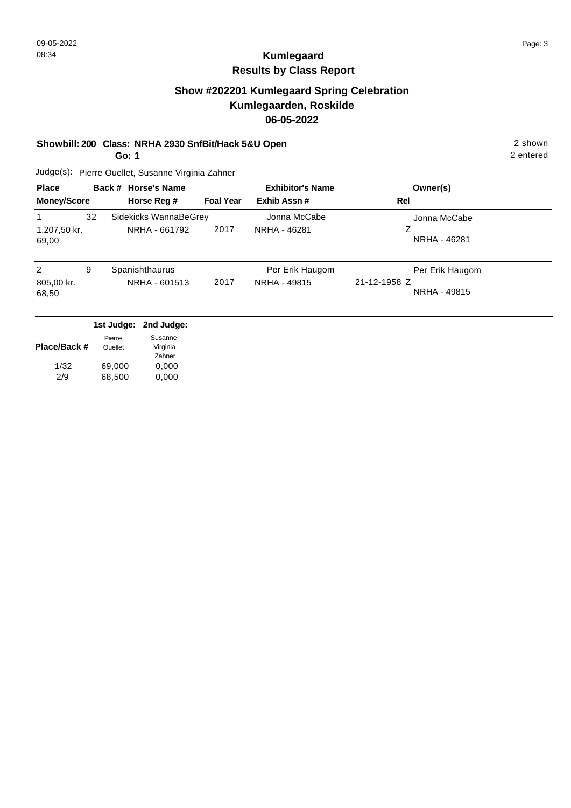# **Show #202201 Kumlegaard Spring Celebration Kumlegaarden, Roskilde 06-05-2022**

### **Showbill: 200 Class: NRHA 2930 SnfBit/Hack 5&U Open** 2 shown

**Go: 1**

Judge(s): Pierre Ouellet, Susanne Virginia Zahner

| <b>Place</b>               |    | Back # Horse's Name                    |                  | <b>Exhibitor's Name</b>         | Owner(s)                                        |
|----------------------------|----|----------------------------------------|------------------|---------------------------------|-------------------------------------------------|
| <b>Money/Score</b>         |    | Horse Reg #                            | <b>Foal Year</b> | Exhib Assn#                     | Rel                                             |
| 1<br>1.207,50 kr.<br>69,00 | 32 | Sidekicks WannaBeGrey<br>NRHA - 661792 | 2017             | Jonna McCabe<br>NRHA - 46281    | Jonna McCabe<br>NRHA - 46281                    |
| 2<br>805,00 kr.<br>68,50   | 9  | Spanishthaurus<br>NRHA - 601513        | 2017             | Per Erik Haugom<br>NRHA - 49815 | Per Erik Haugom<br>21-12-1958 Z<br>NRHA - 49815 |

| 1st Judge: 2nd Judge: |  |
|-----------------------|--|
|-----------------------|--|

| Place/Back # | Pierre<br>Ouellet | Susanne<br>Virginia |
|--------------|-------------------|---------------------|
|              |                   | Zahner              |
| 1/32         | 69.000            | 0,000               |
| 2/9          | 68,500            | 0,000               |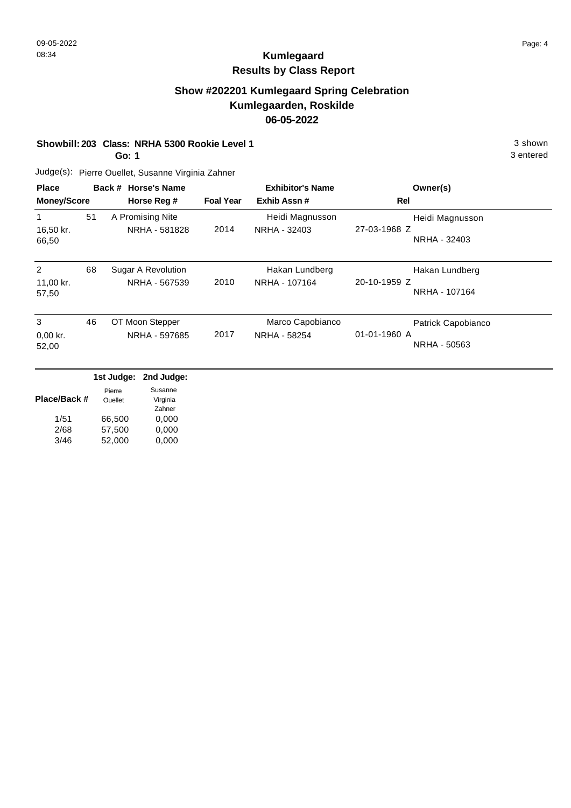# **Show #202201 Kumlegaard Spring Celebration Kumlegaarden, Roskilde 06-05-2022**

#### **Showbill: 203 Class: NRHA 5300 Rookie Level 1** 3 shown

**Go: 1**

Judge(s): Pierre Ouellet, Susanne Virginia Zahner

| <b>Place</b>             |    | Back # Horse's Name                 |                  | <b>Exhibitor's Name</b>          | Owner(s)                                           |
|--------------------------|----|-------------------------------------|------------------|----------------------------------|----------------------------------------------------|
| <b>Money/Score</b>       |    | Horse Reg #                         | <b>Foal Year</b> | Exhib Assn#                      | Rel                                                |
| 16,50 kr.<br>66,50       | 51 | A Promising Nite<br>NRHA - 581828   | 2014             | Heidi Magnusson<br>NRHA - 32403  | Heidi Magnusson<br>27-03-1968 Z<br>NRHA - 32403    |
| 2<br>11,00 kr.<br>57,50  | 68 | Sugar A Revolution<br>NRHA - 567539 | 2010             | Hakan Lundberg<br>NRHA - 107164  | Hakan Lundberg<br>20-10-1959 Z<br>NRHA - 107164    |
| 3<br>$0,00$ kr.<br>52,00 | 46 | OT Moon Stepper<br>NRHA - 597685    | 2017             | Marco Capobianco<br>NRHA - 58254 | Patrick Capobianco<br>01-01-1960 A<br>NRHA - 50563 |

|              |                | 1st Judge: 2nd Judge: |
|--------------|----------------|-----------------------|
|              | Pierre         | Susanne               |
| Place/Back # | <b>Ouellet</b> | Virginia              |
|              |                | Zahner                |
| 1/51         | 66,500         | 0,000                 |
| 2/68         | 57,500         | 0,000                 |
| 3/46         | 52,000         | 0,000                 |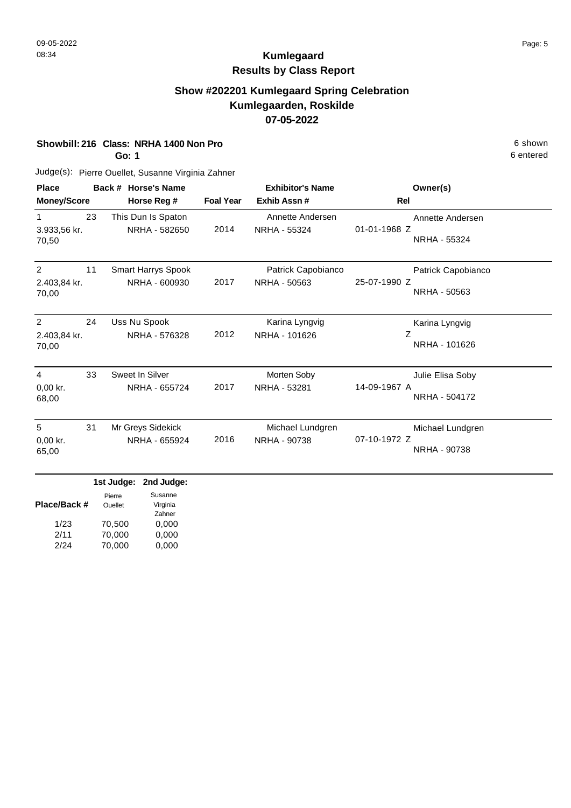# **Show #202201 Kumlegaard Spring Celebration Kumlegaarden, Roskilde 07-05-2022**

### **Showbill: 216 Class: NRHA 1400 Non Pro** 6 shown

**Go: 1**

6 entered

| <b>Place</b>                            |    | Back # Horse's Name                        |                  | <b>Exhibitor's Name</b>            | Owner(s)                                           |
|-----------------------------------------|----|--------------------------------------------|------------------|------------------------------------|----------------------------------------------------|
| <b>Money/Score</b>                      |    | Horse Reg #                                | <b>Foal Year</b> | Exhib Assn #                       | <b>Rel</b>                                         |
| $\mathbf{1}$<br>3.933,56 kr.<br>70,50   | 23 | This Dun Is Spaton<br>NRHA - 582650        | 2014             | Annette Andersen<br>NRHA - 55324   | Annette Andersen<br>01-01-1968 Z<br>NRHA - 55324   |
| 2<br>2.403,84 kr.<br>70,00              | 11 | <b>Smart Harrys Spook</b><br>NRHA - 600930 | 2017             | Patrick Capobianco<br>NRHA - 50563 | Patrick Capobianco<br>25-07-1990 Z<br>NRHA - 50563 |
| $\overline{2}$<br>2.403,84 kr.<br>70,00 | 24 | Uss Nu Spook<br>NRHA - 576328              | 2012             | Karina Lyngvig<br>NRHA - 101626    | Karina Lyngvig<br>Ζ<br>NRHA - 101626               |
| $\overline{4}$<br>0,00 kr.<br>68,00     | 33 | Sweet In Silver<br>NRHA - 655724           | 2017             | Morten Soby<br>NRHA - 53281        | Julie Elisa Soby<br>14-09-1967 A<br>NRHA - 504172  |
| 5<br>$0,00$ kr.<br>65,00                | 31 | Mr Greys Sidekick<br>NRHA - 655924         | 2016             | Michael Lundgren<br>NRHA - 90738   | Michael Lundgren<br>07-10-1972 Z<br>NRHA - 90738   |
|                                         |    | ومعامرا امعدها ومعامرا فماه                |                  |                                    |                                                    |

|              |                | 1st Judge: 2nd Judge: |
|--------------|----------------|-----------------------|
|              | Pierre         | Susanne               |
| Place/Back # | <b>Ouellet</b> | Virginia              |
|              |                | Zahner                |
| 1/23         | 70,500         | 0,000                 |
| 2/11         | 70,000         | 0,000                 |
| 2/24         | 70,000         | 0,000                 |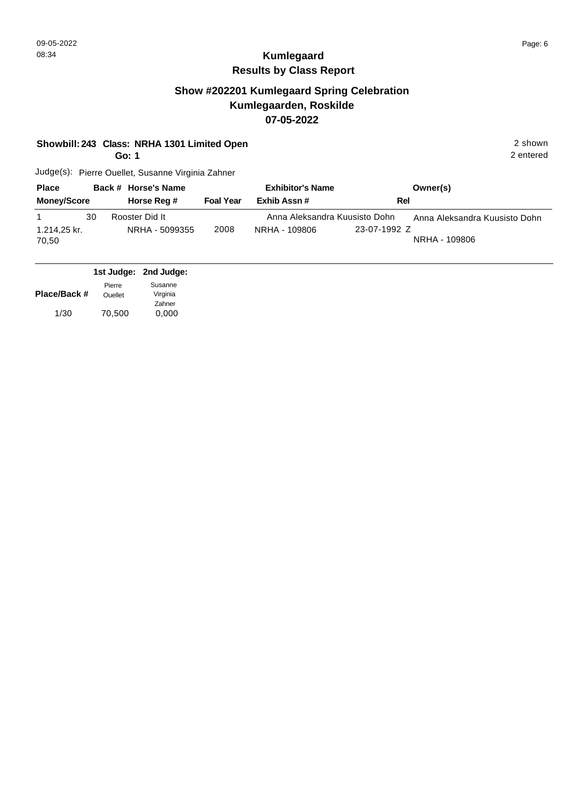### **Show #202201 Kumlegaard Spring Celebration Kumlegaarden, Roskilde 07-05-2022**

| Showbill: 243 Class: NRHA 1301 Limited Open | 2 shown |
|---------------------------------------------|---------|
|                                             |         |

**Go: 1**

2 entered

| <b>Place</b>                | Back # Horse's Name              |                  | <b>Exhibitor's Name</b>                        | Owner(s)                                                       |
|-----------------------------|----------------------------------|------------------|------------------------------------------------|----------------------------------------------------------------|
| <b>Money/Score</b>          | Horse Reg #                      | <b>Foal Year</b> | Exhib Assn#                                    | <b>Rel</b>                                                     |
| 30<br>1.214,25 kr.<br>70,50 | Rooster Did It<br>NRHA - 5099355 | 2008             | Anna Aleksandra Kuusisto Dohn<br>NRHA - 109806 | Anna Aleksandra Kuusisto Dohn<br>23-07-1992 Z<br>NRHA - 109806 |

|              |                | 1st Judge: 2nd Judge: |
|--------------|----------------|-----------------------|
|              | Pierre         | Susanne               |
| Place/Back # | <b>Ouellet</b> | Virginia              |
|              |                | Zahner                |
| 1/30         | 70,500         | 0,000                 |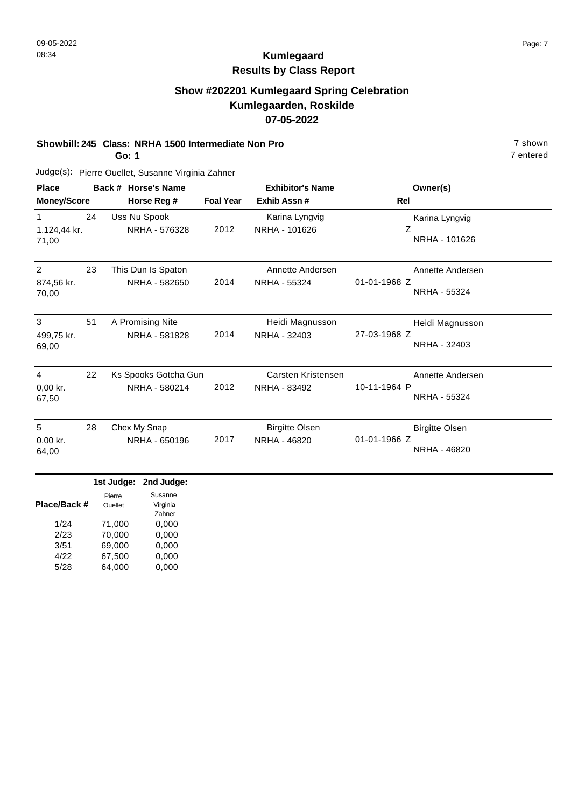# **Show #202201 Kumlegaard Spring Celebration Kumlegaarden, Roskilde 07-05-2022**

#### **Showbill: 245 Class: NRHA 1500 Intermediate Non Pro** 7 shown

**Go: 1**

Judge(s): Pierre Ouellet, Susanne Virginia Zahner

| <b>Place</b><br><b>Money/Score</b>    |    | Back # Horse's Name<br>Horse Reg #    | <b>Foal Year</b> | <b>Exhibitor's Name</b><br>Exhib Assn# | Owner(s)<br>Rel                                       |
|---------------------------------------|----|---------------------------------------|------------------|----------------------------------------|-------------------------------------------------------|
| 1.124,44 kr.<br>71,00                 | 24 | Uss Nu Spook<br>NRHA - 576328         | 2012             | Karina Lyngvig<br>NRHA - 101626        | Karina Lyngvig<br>Z<br>NRHA - 101626                  |
| $\overline{2}$<br>874,56 kr.<br>70,00 | 23 | This Dun Is Spaton<br>NRHA - 582650   | 2014             | Annette Andersen<br>NRHA - 55324       | Annette Andersen<br>01-01-1968 Z<br>NRHA - 55324      |
| 3<br>499,75 kr.<br>69,00              | 51 | A Promising Nite<br>NRHA - 581828     | 2014             | Heidi Magnusson<br>NRHA - 32403        | Heidi Magnusson<br>27-03-1968 Z<br>NRHA - 32403       |
| $\overline{4}$<br>$0,00$ kr.<br>67,50 | 22 | Ks Spooks Gotcha Gun<br>NRHA - 580214 | 2012             | Carsten Kristensen<br>NRHA - 83492     | Annette Andersen<br>10-11-1964 P<br>NRHA - 55324      |
| 5<br>$0,00$ kr.<br>64,00              | 28 | Chex My Snap<br>NRHA - 650196         | 2017             | <b>Birgitte Olsen</b><br>NRHA - 46820  | <b>Birgitte Olsen</b><br>01-01-1966 Z<br>NRHA - 46820 |

|              |         | 1st Judge: 2nd Judge: |
|--------------|---------|-----------------------|
|              | Pierre  | Susanne               |
| Place/Back # | Ouellet | Virginia              |
|              |         | Zahner                |
| 1/24         | 71,000  | 0,000                 |
| 2/23         | 70,000  | 0,000                 |
| 3/51         | 69,000  | 0,000                 |
| 4/22         | 67,500  | 0,000                 |
| 5/28         | 64.000  | 0.000                 |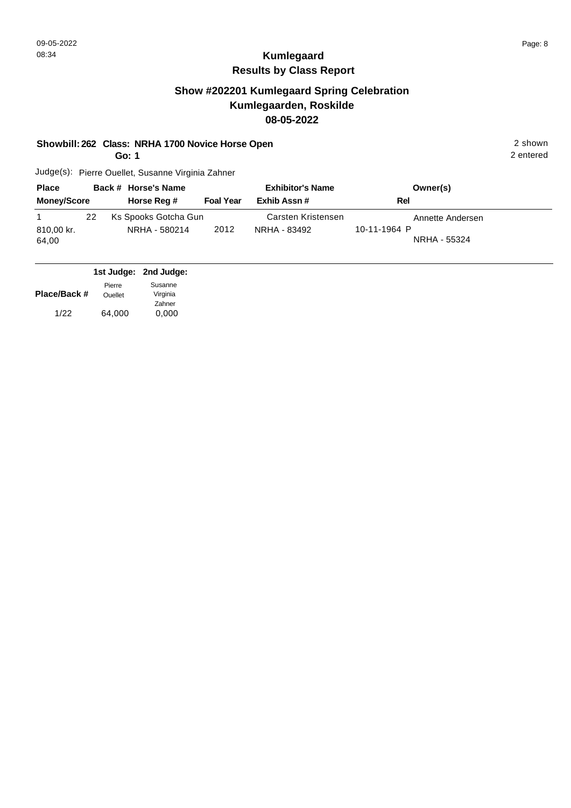### **Show #202201 Kumlegaard Spring Celebration Kumlegaarden, Roskilde 08-05-2022**

### **Showbill: 262 Class: NRHA 1700 Novice Horse Open** 2 shown 2 shown

**Go: 1**

2 entered

| <b>Place</b>        |    | Back # Horse's Name                   |                  | <b>Exhibitor's Name</b>            | Owner(s)                                         |  |
|---------------------|----|---------------------------------------|------------------|------------------------------------|--------------------------------------------------|--|
| <b>Money/Score</b>  |    | Horse Reg #                           | <b>Foal Year</b> | Exhib Assn#                        | <b>Rel</b>                                       |  |
| 810,00 kr.<br>64,00 | 22 | Ks Spooks Gotcha Gun<br>NRHA - 580214 | 2012             | Carsten Kristensen<br>NRHA - 83492 | Annette Andersen<br>10-11-1964 P<br>NRHA - 55324 |  |

|              |         | 1st Judge: 2nd Judge: |
|--------------|---------|-----------------------|
|              | Pierre  | Susanne               |
| Place/Back # | Ouellet | Virginia              |
|              |         | Zahner                |
| 1/22         | 64,000  | 0,000                 |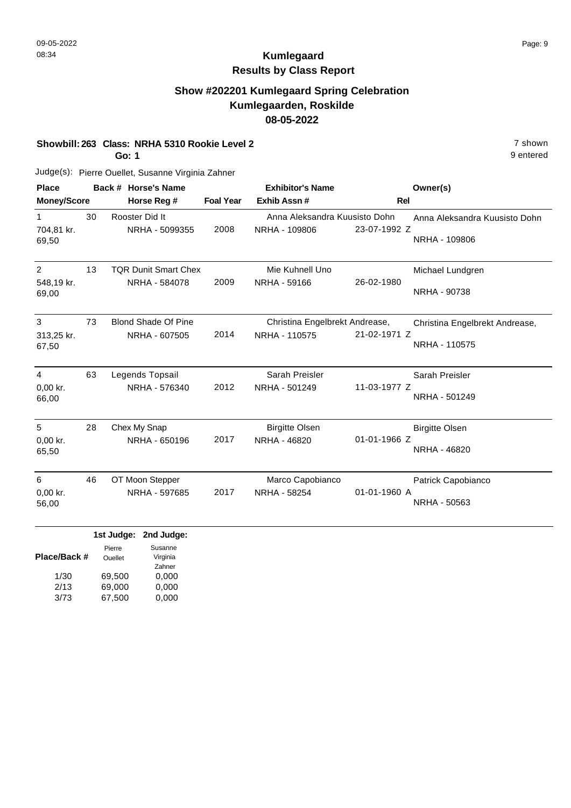9 entered

# **Kumlegaard Results by Class Report**

### **Show #202201 Kumlegaard Spring Celebration Kumlegaarden, Roskilde 08-05-2022**

#### **Showbill: 263 Class: NRHA 5310 Rookie Level 2 Participally 1263 Class: NRHA 5310 Rookie Level 2**

**Go: 1**

| <b>Place</b>        |    | Back # Horse's Name                                              |                  | <b>Exhibitor's Name</b>        | Owner(s)                       |  |
|---------------------|----|------------------------------------------------------------------|------------------|--------------------------------|--------------------------------|--|
| <b>Money/Score</b>  |    | Horse Reg #                                                      | <b>Foal Year</b> | Exhib Assn#                    | <b>Rel</b>                     |  |
| $\mathbf{1}$        | 30 | Rooster Did It                                                   |                  | Anna Aleksandra Kuusisto Dohn  | Anna Aleksandra Kuusisto Dohn  |  |
| 704,81 kr.<br>69,50 |    | NRHA - 5099355                                                   | 2008             | NRHA - 109806                  | 23-07-1992 Z<br>NRHA - 109806  |  |
| $\overline{2}$      | 13 | <b>TQR Dunit Smart Chex</b>                                      |                  | Mie Kuhnell Uno                | Michael Lundgren               |  |
| 548,19 kr.<br>69,00 |    | NRHA - 584078                                                    | 2009             | NRHA - 59166                   | 26-02-1980<br>NRHA - 90738     |  |
| 3                   | 73 | <b>Blond Shade Of Pine</b>                                       |                  | Christina Engelbrekt Andrease, | Christina Engelbrekt Andrease, |  |
| 313,25 kr.<br>67,50 |    | NRHA - 607505                                                    | 2014             | NRHA - 110575                  | 21-02-1971 Z<br>NRHA - 110575  |  |
| 4                   | 63 | Legends Topsail                                                  |                  | Sarah Preisler                 | Sarah Preisler                 |  |
| 0,00 kr.<br>66,00   |    | NRHA - 576340                                                    | 2012             | NRHA - 501249                  | 11-03-1977 Z<br>NRHA - 501249  |  |
| 5                   | 28 | Chex My Snap                                                     |                  | <b>Birgitte Olsen</b>          | <b>Birgitte Olsen</b>          |  |
| 0,00 kr.<br>65,50   |    | NRHA - 650196                                                    | 2017             | NRHA - 46820                   | 01-01-1966 Z<br>NRHA - 46820   |  |
| 6                   | 46 | OT Moon Stepper                                                  |                  | Marco Capobianco               | Patrick Capobianco             |  |
| 0,00 kr.<br>56,00   |    | NRHA - 597685                                                    | 2017             | NRHA - 58254                   | 01-01-1960 A<br>NRHA - 50563   |  |
|                     |    | 1st Judge:<br>2nd Judge:                                         |                  |                                |                                |  |
| Place/Back #        |    | Susanne<br>Pierre<br>Virginia<br><b>Ouellet</b><br><b>Zohnor</b> |                  |                                |                                |  |

|      |        | <u>Lainsi</u> |
|------|--------|---------------|
| 1/30 | 69,500 | 0,000         |
| 2/13 | 69,000 | 0,000         |
| 3/73 | 67,500 | 0,000         |
|      |        |               |